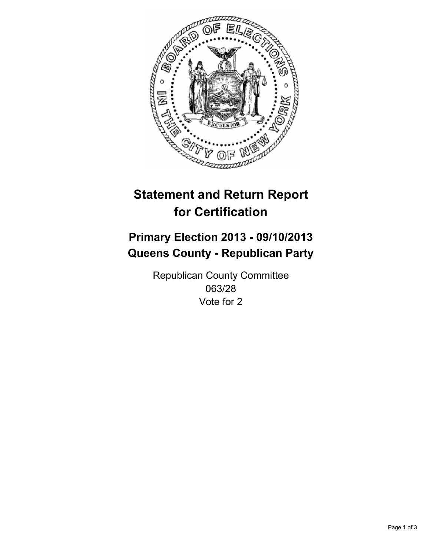

# **Statement and Return Report for Certification**

## **Primary Election 2013 - 09/10/2013 Queens County - Republican Party**

Republican County Committee 063/28 Vote for 2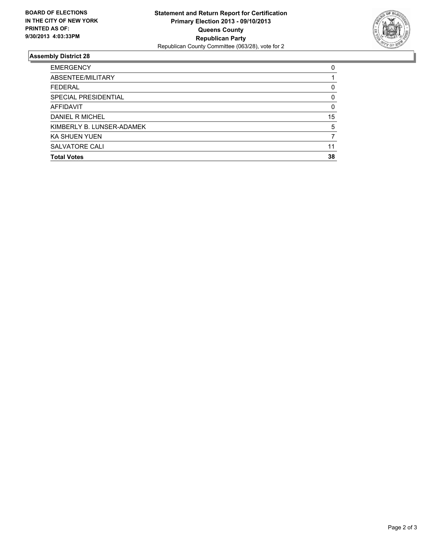

### **Assembly District 28**

| <b>EMERGENCY</b>          | 0  |
|---------------------------|----|
| ABSENTEE/MILITARY         |    |
| <b>FEDERAL</b>            | 0  |
| SPECIAL PRESIDENTIAL      | 0  |
| <b>AFFIDAVIT</b>          | 0  |
| DANIEL R MICHEL           | 15 |
| KIMBERLY B. LUNSER-ADAMEK | 5  |
| <b>KA SHUEN YUEN</b>      |    |
| SALVATORE CALI            | 11 |
| <b>Total Votes</b>        | 38 |
|                           |    |